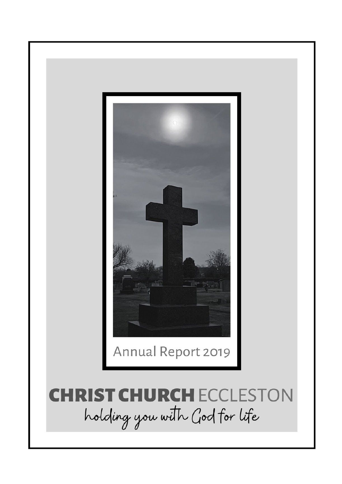

# **CHRIST CHURCH ECCLESTON** holding you with God for life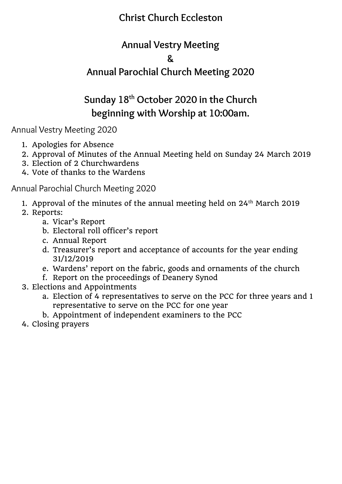# **Christ Church Eccleston**

# **Annual Vestry Meeting**

# **&**

# **Annual Parochial Church Meeting 2020**

# **Sunday 18 th October 2020 in the Church beginning with Worship at 10:00am.**

Annual Vestry Meeting 2020

- 1. Apologies for Absence
- 2. Approval of Minutes of the Annual Meeting held on Sunday 24 March 2019
- 3. Election of 2 Churchwardens
- 4. Vote of thanks to the Wardens

Annual Parochial Church Meeting 2020

- 1. Approval of the minutes of the annual meeting held on  $24^{\text{th}}$  March 2019
- 2. Reports:
	- a. Vicar's Report
	- b. Electoral roll officer's report
	- c. Annual Report
	- d. Treasurer's report and acceptance of accounts for the year ending 31/12/2019
	- e. Wardens' report on the fabric, goods and ornaments of the church
	- f. Report on the proceedings of Deanery Synod
- 3. Elections and Appointments
	- a. Election of 4 representatives to serve on the PCC for three years and 1 representative to serve on the PCC for one year
	- b. Appointment of independent examiners to the PCC
- 4. Closing prayers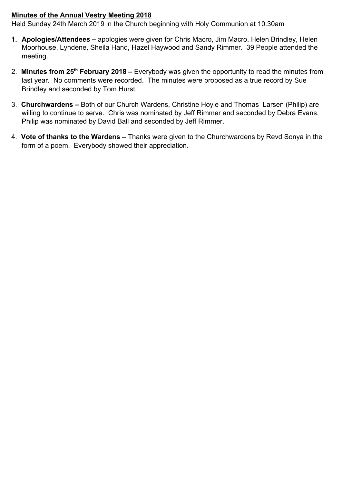### **Minutes of the Annual Vestry Meeting 2018**

Held Sunday 24th March 2019 in the Church beginning with Holy Communion at 10.30am

- **1. Apologies/Attendees** apologies were given for Chris Macro, Jim Macro, Helen Brindley, Helen Moorhouse, Lyndene, Sheila Hand, Hazel Haywood and Sandy Rimmer. 39 People attended the meeting.
- 2. **Minutes from 25th February 2018 –** Everybody was given the opportunity to read the minutes from last year. No comments were recorded. The minutes were proposed as a true record by Sue Brindley and seconded by Tom Hurst.
- 3. **Churchwardens –** Both of our Church Wardens, Christine Hoyle and Thomas Larsen (Philip) are willing to continue to serve. Chris was nominated by Jeff Rimmer and seconded by Debra Evans. Philip was nominated by David Ball and seconded by Jeff Rimmer.
- 4. **Vote of thanks to the Wardens –** Thanks were given to the Churchwardens by Revd Sonya in the form of a poem. Everybody showed their appreciation.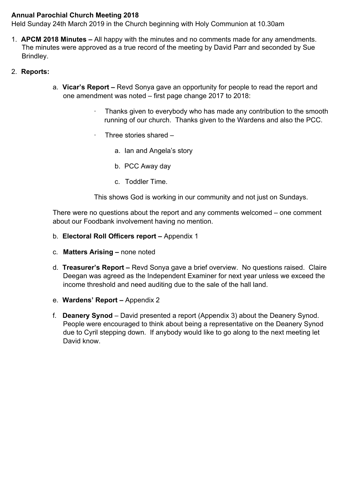# **Annual Parochial Church Meeting 2018**

Held Sunday 24th March 2019 in the Church beginning with Holy Communion at 10.30am

- 1. **APCM 2018 Minutes** All happy with the minutes and no comments made for any amendments. The minutes were approved as a true record of the meeting by David Parr and seconded by Sue Brindley.
- 2. **Reports:**
	- a. **Vicar's Report** Revd Sonya gave an opportunity for people to read the report and one amendment was noted – first page change 2017 to 2018:
		- Thanks given to everybody who has made any contribution to the smooth running of our church. Thanks given to the Wardens and also the PCC.
		- · Three stories shared
			- a. Ian and Angela's story
			- b. PCC Away day
			- c. Toddler Time.

This shows God is working in our community and not just on Sundays.

There were no questions about the report and any comments welcomed – one comment about our Foodbank involvement having no mention.

- b. **Electoral Roll Officers report –** Appendix 1
- c. **Matters Arising –** none noted
- d. **Treasurer's Report –** Revd Sonya gave a brief overview. No questions raised. Claire Deegan was agreed as the Independent Examiner for next year unless we exceed the income threshold and need auditing due to the sale of the hall land.
- e. **Wardens' Report** Appendix 2
- f. **Deanery Synod** David presented a report (Appendix 3) about the Deanery Synod. People were encouraged to think about being a representative on the Deanery Synod due to Cyril stepping down. If anybody would like to go along to the next meeting let David know.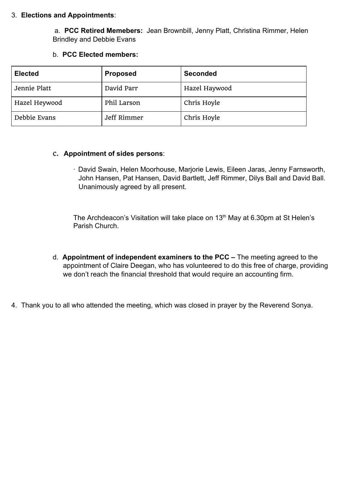### 3. **Elections and Appointments**:

 a. **PCC Retired Memebers:** Jean Brownbill, Jenny Platt, Christina Rimmer, Helen Brindley and Debbie Evans

| <b>Elected</b> | <b>Proposed</b> | <b>Seconded</b> |
|----------------|-----------------|-----------------|
| Jennie Platt   | David Parr      | Hazel Haywood   |
| Hazel Heywood  | Phil Larson     | Chris Hoyle     |
| Debbie Evans   | Jeff Rimmer     | Chris Hoyle     |

### b. **PCC Elected members:**

#### c. **Appointment of sides persons**:

· David Swain, Helen Moorhouse, Marjorie Lewis, Eileen Jaras, Jenny Farnsworth, John Hansen, Pat Hansen, David Bartlett, Jeff Rimmer, Dilys Ball and David Ball. Unanimously agreed by all present.

The Archdeacon's Visitation will take place on  $13<sup>th</sup>$  May at 6.30pm at St Helen's Parish Church.

- d. **Appointment of independent examiners to the PCC** The meeting agreed to the appointment of Claire Deegan, who has volunteered to do this free of charge, providing we don't reach the financial threshold that would require an accounting firm.
- 4. Thank you to all who attended the meeting, which was closed in prayer by the Reverend Sonya.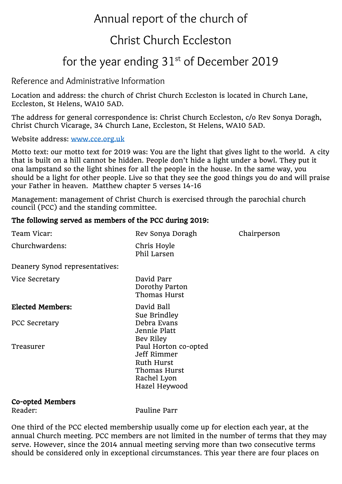# Annual report of the church of

# Christ Church Eccleston

# for the year ending  $31^{st}$  of December 2019

# Reference and Administrative Information

Location and address: the church of Christ Church Eccleston is located in Church Lane, Eccleston, St Helens, WA10 5AD.

The address for general correspondence is: Christ Church Eccleston, c/o Rev Sonya Doragh, Christ Church Vicarage, 34 Church Lane, Eccleston, St Helens, WA10 5AD.

Website address: [www.cce.org.uk](http://www.cce.org.uk/)

Motto text: our motto text for 2019 was: You are the light that gives light to the world. A city that is built on a hill cannot be hidden. People don't hide a light under a bowl. They put it ona lampstand so the light shines for all the people in the house. In the same way, you should be a light for other people. Live so that they see the good things you do and will praise your Father in heaven. Matthew chapter 5 verses 14-16

Management: management of Christ Church is exercised through the parochial church council (PCC) and the standing committee.

# The following served as members of the PCC during 2019:

| Team Vicar:                    | Rev Sonya Doragh                                                                                         | Chairperson |
|--------------------------------|----------------------------------------------------------------------------------------------------------|-------------|
| Churchwardens:                 | Chris Hoyle<br>Phil Larsen                                                                               |             |
| Deanery Synod representatives: |                                                                                                          |             |
| Vice Secretary                 | David Parr<br>Dorothy Parton<br>Thomas Hurst                                                             |             |
| <b>Elected Members:</b>        | David Ball<br>Sue Brindley                                                                               |             |
| <b>PCC Secretary</b>           | Debra Evans<br>Jennie Platt<br>Bev Riley                                                                 |             |
| Treasurer                      | Paul Horton co-opted<br>Jeff Rimmer<br><b>Ruth Hurst</b><br>Thomas Hurst<br>Rachel Lyon<br>Hazel Heywood |             |
| Co-opted Members               |                                                                                                          |             |
| Reader:                        | Pauline Parr                                                                                             |             |

One third of the PCC elected membership usually come up for election each year, at the annual Church meeting. PCC members are not limited in the number of terms that they may serve. However, since the 2014 annual meeting serving more than two consecutive terms should be considered only in exceptional circumstances. This year there are four places on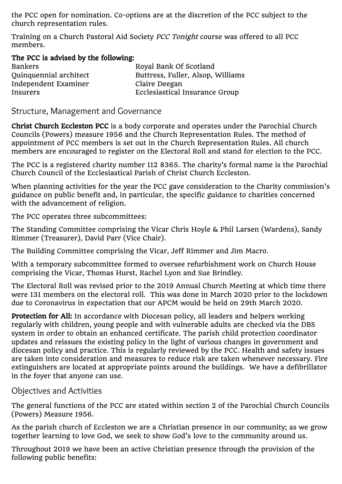the PCC open for nomination. Co-options are at the discretion of the PCC subject to the church representation rules.

Training on a Church Pastoral Aid Society PCC Tonight course was offered to all PCC members.

The PCC is advised by the following:

| <b>Bankers</b>         | Royal Bank Of Scotland            |
|------------------------|-----------------------------------|
| Quinquennial architect | Buttress, Fuller, Alsop, Williams |
| Independent Examiner   | Claire Deegan                     |
| Insurers               | Ecclesiastical Insurance Group    |

Structure, Management and Governance

Christ Church Eccleston PCC is a body corporate and operates under the Parochial Church Councils (Powers) measure 1956 and the Church Representation Rules. The method of appointment of PCC members is set out in the Church Representation Rules. All church members are encouraged to register on the Electoral Roll and stand for election to the PCC.

The PCC is a registered charity number 112 8365. The charity's formal name is the Parochial Church Council of the Ecclesiastical Parish of Christ Church Eccleston.

When planning activities for the year the PCC gave consideration to the Charity commission's guidance on public benefit and, in particular, the specific guidance to charities concerned with the advancement of religion.

The PCC operates three subcommittees:

The Standing Committee comprising the Vicar Chris Hoyle & Phil Larsen (Wardens), Sandy Rimmer (Treasurer), David Parr (Vice Chair).

The Building Committee comprising the Vicar, Jeff Rimmer and Jim Macro.

With a temporary subcommittee formed to oversee refurbishment work on Church House comprising the Vicar, Thomas Hurst, Rachel Lyon and Sue Brindley.

The Electoral Roll was revised prior to the 2019 Annual Church Meeting at which time there were 131 members on the electoral roll. This was done in March 2020 prior to the lockdown due to Coronavirus in expectation that our APCM would be held on 29th March 2020.

Protection for All: In accordance with Diocesan policy, all leaders and helpers working regularly with children, young people and with vulnerable adults are checked via the DBS system in order to obtain an enhanced certificate. The parish child protection coordinator updates and reissues the existing policy in the light of various changes in government and diocesan policy and practice. This is regularly reviewed by the PCC. Health and safety issues are taken into consideration and measures to reduce risk are taken whenever necessary. Fire extinguishers are located at appropriate points around the buildings. We have a defibrillator in the foyer that anyone can use.

Objectives and Activities

The general functions of the PCC are stated within section 2 of the Parochial Church Councils (Powers) Measure 1956.

As the parish church of Eccleston we are a Christian presence in our community; as we grow together learning to love God, we seek to show God's love to the community around us.

Throughout 2019 we have been an active Christian presence through the provision of the following public benefits: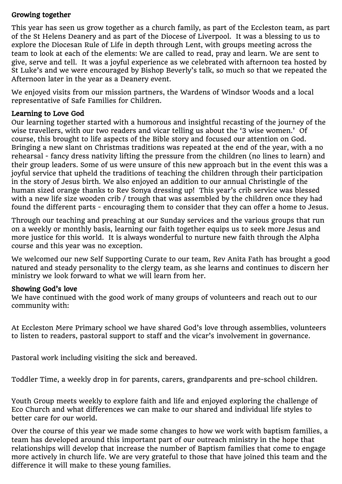# Growing together

This year has seen us grow together as a church family, as part of the Eccleston team, as part of the St Helens Deanery and as part of the Diocese of Liverpool. It was a blessing to us to explore the Diocesan Rule of Life in depth through Lent, with groups meeting across the team to look at each of the elements: We are called to read, pray and learn. We are sent to give, serve and tell. It was a joyful experience as we celebrated with afternoon tea hosted by St Luke's and we were encouraged by Bishop Beverly's talk, so much so that we repeated the Afternoon later in the year as a Deanery event.

We enjoyed visits from our mission partners, the Wardens of Windsor Woods and a local representative of Safe Families for Children.

# Learning to Love God

Our learning together started with a humorous and insightful recasting of the journey of the wise travellers, with our two readers and vicar telling us about the '3 wise women.' Of course, this brought to life aspects of the Bible story and focused our attention on God. Bringing a new slant on Christmas traditions was repeated at the end of the year, with a no rehearsal - fancy dress nativity lifting the pressure from the children (no lines to learn) and their group leaders. Some of us were unsure of this new approach but in the event this was a joyful service that upheld the traditions of teaching the children through their participation in the story of Jesus birth. We also enjoyed an addition to our annual Christingle of the human sized orange thanks to Rev Sonya dressing up! This year's crib service was blessed with a new life size wooden crib / trough that was assembled by the children once they had found the different parts - encouraging them to consider that they can offer a home to Jesus.

Through our teaching and preaching at our Sunday services and the various groups that run on a weekly or monthly basis, learning our faith together equips us to seek more Jesus and more justice for this world. It is always wonderful to nurture new faith through the Alpha course and this year was no exception.

We welcomed our new Self Supporting Curate to our team, Rev Anita Fath has brought a good natured and steady personality to the clergy team, as she learns and continues to discern her ministry we look forward to what we will learn from her.

# Showing God's love

We have continued with the good work of many groups of volunteers and reach out to our community with:

At Eccleston Mere Primary school we have shared God's love through assemblies, volunteers to listen to readers, pastoral support to staff and the vicar's involvement in governance.

Pastoral work including visiting the sick and bereaved.

Toddler Time, a weekly drop in for parents, carers, grandparents and pre-school children.

Youth Group meets weekly to explore faith and life and enjoyed exploring the challenge of Eco Church and what differences we can make to our shared and individual life styles to better care for our world.

Over the course of this year we made some changes to how we work with baptism families, a team has developed around this important part of our outreach ministry in the hope that relationships will develop that increase the number of Baptism families that come to engage more actively in church life. We are very grateful to those that have joined this team and the difference it will make to these young families.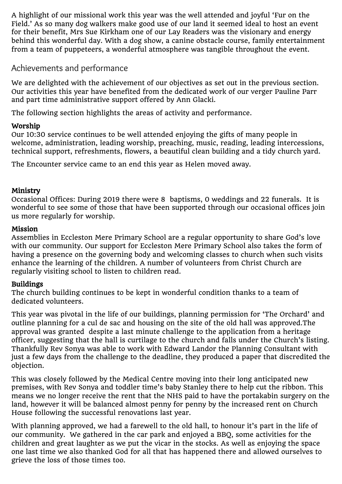A highlight of our missional work this year was the well attended and joyful 'Fur on the Field.' As so many dog walkers make good use of our land it seemed ideal to host an event for their benefit, Mrs Sue Kirkham one of our Lay Readers was the visionary and energy behind this wonderful day. With a dog show, a canine obstacle course, family entertainment from a team of puppeteers, a wonderful atmosphere was tangible throughout the event.

# Achievements and performance

We are delighted with the achievement of our objectives as set out in the previous section. Our activities this year have benefited from the dedicated work of our verger Pauline Parr and part time administrative support offered by Ann Glacki.

The following section highlights the areas of activity and performance.

# Worship

Our 10:30 service continues to be well attended enjoying the gifts of many people in welcome, administration, leading worship, preaching, music, reading, leading intercessions, technical support, refreshments, flowers, a beautiful clean building and a tidy church yard.

The Encounter service came to an end this year as Helen moved away.

# Ministry

Occasional Offices: During 2019 there were 8 baptisms, 0 weddings and 22 funerals. It is wonderful to see some of those that have been supported through our occasional offices join us more regularly for worship.

# Mission

Assemblies in Eccleston Mere Primary School are a regular opportunity to share God's love with our community. Our support for Eccleston Mere Primary School also takes the form of having a presence on the governing body and welcoming classes to church when such visits enhance the learning of the children. A number of volunteers from Christ Church are regularly visiting school to listen to children read.

# Buildings

The church building continues to be kept in wonderful condition thanks to a team of dedicated volunteers.

This year was pivotal in the life of our buildings, planning permission for 'The Orchard' and outline planning for a cul de sac and housing on the site of the old hall was approved.The approval was granted despite a last minute challenge to the application from a heritage officer, suggesting that the hall is curtilage to the church and falls under the Church's listing. Thankfully Rev Sonya was able to work with Edward Landor the Planning Consultant with just a few days from the challenge to the deadline, they produced a paper that discredited the objection.

This was closely followed by the Medical Centre moving into their long anticipated new premises, with Rev Sonya and toddler time's baby Stanley there to help cut the ribbon. This means we no longer receive the rent that the NHS paid to have the portakabin surgery on the land, however it will be balanced almost penny for penny by the increased rent on Church House following the successful renovations last year.

With planning approved, we had a farewell to the old hall, to honour it's part in the life of our community. We gathered in the car park and enjoyed a BBQ, some activities for the children and great laughter as we put the vicar in the stocks. As well as enjoying the space one last time we also thanked God for all that has happened there and allowed ourselves to grieve the loss of those times too.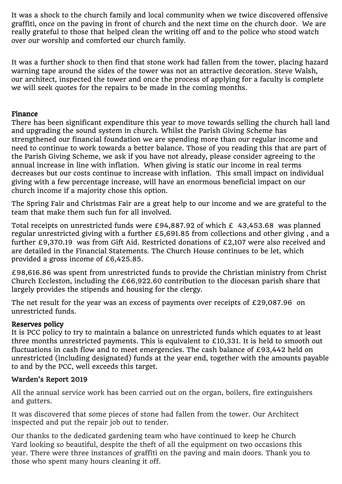It was a shock to the church family and local community when we twice discovered offensive graffiti, once on the paving in front of church and the next time on the church door. We are really grateful to those that helped clean the writing off and to the police who stood watch over our worship and comforted our church family.

It was a further shock to then find that stone work had fallen from the tower, placing hazard warning tape around the sides of the tower was not an attractive decoration. Steve Walsh, our architect, inspected the tower and once the process of applying for a faculty is complete we will seek quotes for the repairs to be made in the coming months.

# Finance

There has been significant expenditure this year to move towards selling the church hall land and upgrading the sound system in church. Whilst the Parish Giving Scheme has strengthened our financial foundation we are spending more than our regular income and need to continue to work towards a better balance. Those of you reading this that are part of the Parish Giving Scheme, we ask if you have not already, please consider agreeing to the annual increase in line with inflation. When giving is static our income in real terms decreases but our costs continue to increase with inflation. This small impact on individual giving with a few percentage increase, will have an enormous beneficial impact on our church income if a majority chose this option.

The Spring Fair and Christmas Fair are a great help to our income and we are grateful to the team that make them such fun for all involved.

Total receipts on unrestricted funds were £94,887.92 of which £ 43,453.68 was planned regular unrestricted giving with a further £5,691.85 from collections and other giving , and a further £9,370.19 was from Gift Aid. Restricted donations of £2,107 were also received and are detailed in the Financial Statements. The Church House continues to be let, which provided a gross income of £6,425.85.

£98,616.86 was spent from unrestricted funds to provide the Christian ministry from Christ Church Eccleston, including the £66,922.60 contribution to the diocesan parish share that largely provides the stipends and housing for the clergy.

The net result for the year was an excess of payments over receipts of £29,087.96 on unrestricted funds.

# Reserves policy

It is PCC policy to try to maintain a balance on unrestricted funds which equates to at least three months unrestricted payments. This is equivalent to £10,331. It is held to smooth out fluctuations in cash flow and to meet emergencies. The cash balance of £93,442 held on unrestricted (including designated) funds at the year end, together with the amounts payable to and by the PCC, well exceeds this target.

# Warden's Report 2019

All the annual service work has been carried out on the organ, boilers, fire extinguishers and gutters.

It was discovered that some pieces of stone had fallen from the tower. Our Architect inspected and put the repair job out to tender.

Our thanks to the dedicated gardening team who have continued to keep he Church Yard looking so beautiful, despite the theft of all the equipment on two occasions this year. There were three instances of graffiti on the paving and main doors. Thank you to those who spent many hours cleaning it off.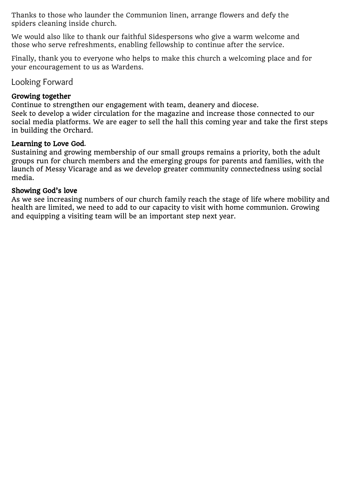Thanks to those who launder the Communion linen, arrange flowers and defy the spiders cleaning inside church.

We would also like to thank our faithful Sidespersons who give a warm welcome and those who serve refreshments, enabling fellowship to continue after the service.

Finally, thank you to everyone who helps to make this church a welcoming place and for your encouragement to us as Wardens.

Looking Forward

# Growing together

Continue to strengthen our engagement with team, deanery and diocese.

Seek to develop a wider circulation for the magazine and increase those connected to our social media platforms. We are eager to sell the hall this coming year and take the first steps in building the Orchard.

# Learning to Love God.

Sustaining and growing membership of our small groups remains a priority, both the adult groups run for church members and the emerging groups for parents and families, with the launch of Messy Vicarage and as we develop greater community connectedness using social media.

# Showing God's love

As we see increasing numbers of our church family reach the stage of life where mobility and health are limited, we need to add to our capacity to visit with home communion. Growing and equipping a visiting team will be an important step next year.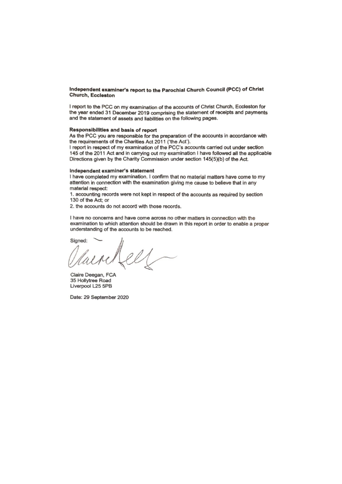#### Independent examiner's report to the Parochial Church Council (PCC) of Christ **Church, Eccleston**

I report to the PCC on my examination of the accounts of Christ Church, Eccleston for the year ended 31 December 2019 comprising the statement of receipts and payments and the statement of assets and liabilities on the following pages.

#### Responsibilities and basis of report

As the PCC you are responsible for the preparation of the accounts in accordance with the requirements of the Charities Act 2011 ('the Act').

I report in respect of my examination of the PCC's accounts carried out under section 145 of the 2011 Act and in carrying out my examination I have followed all the applicable Directions given by the Charity Commission under section 145(5)(b) of the Act.

#### Independent examiner's statement

I have completed my examination. I confirm that no material matters have come to my attention in connection with the examination giving me cause to believe that in any material respect:

1. accounting records were not kept in respect of the accounts as required by section 130 of the Act; or

2. the accounts do not accord with those records.

I have no concerns and have come across no other matters in connection with the examination to which attention should be drawn in this report in order to enable a proper understanding of the accounts to be reached.

Signed:

Claire Deegan, FCA 35 Hollytree Road Liverpool L25 5PB

Date: 29 September 2020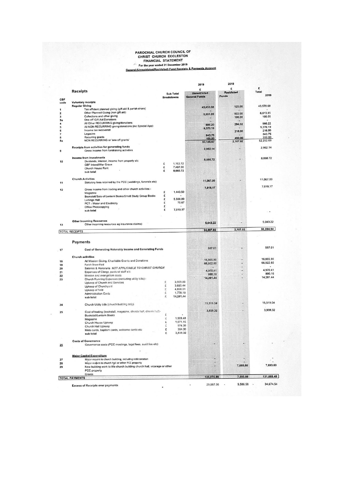# PAROCHIAL CHURCH COUNCIL OF<br>CHRIST CHURCH ECCLESTON<br>FINANCIAL STATEMENT<br>For the year ended 31 December 2019<br>Seneral (Unreatricted/Restricted) Fund Receipts & Payments Account

 $\overline{\phantom{a}}$ 

|             |                                                                                           |                                       | 2019<br>E                                   | £                          | £                                                                                                            |
|-------------|-------------------------------------------------------------------------------------------|---------------------------------------|---------------------------------------------|----------------------------|--------------------------------------------------------------------------------------------------------------|
|             | <b>Receipts</b>                                                                           | <b>Sub Total</b><br><b>Breakdowns</b> | <b>Unrestricted</b><br><b>General Funds</b> | <b>Restricted</b><br>Funds | Total<br>2019                                                                                                |
| CBF<br>code | <b>Voluntary receipts</b>                                                                 |                                       |                                             |                            |                                                                                                              |
|             | <b>Regular Giving</b><br>Tax efficient planned giving (gift aid & parish share)           |                                       | 43,453.68                                   | 125.00                     | 43,578.68                                                                                                    |
|             | Other Planned Giving (non gift aid)                                                       |                                       |                                             |                            | 6,613.85                                                                                                     |
|             | Collections and other giving                                                              |                                       | 5,691.85                                    | 922.00<br>100,00           | 100.00                                                                                                       |
|             | One off Gift Aid Donations                                                                |                                       |                                             |                            |                                                                                                              |
|             | All Other RECURRING giving/donations                                                      |                                       | 686.20                                      | 294.02                     | 980.22                                                                                                       |
|             | All NON-RECURRING giving/donations (inc Special App)                                      |                                       | 9,370.19                                    |                            | 9,370.19                                                                                                     |
|             | Income tax recovered                                                                      |                                       |                                             | 216.00                     | 216.00                                                                                                       |
|             | Legacies                                                                                  |                                       | 843.75                                      |                            | 843.75                                                                                                       |
|             | Recurring grants<br>NON RECURRING or 'one off grants'                                     |                                       | 100,00                                      | 450,00                     | 550.00<br>62,252.69                                                                                          |
|             |                                                                                           |                                       | 60,145.67                                   | 2,107.02                   |                                                                                                              |
|             | Receipts from activities for generating funds<br>Gross Income from fundraising activities |                                       | 2,952.14                                    | ٠                          | 2,952.14                                                                                                     |
|             | Income from investments                                                                   |                                       | 8,660.72                                    |                            | 8,660.72                                                                                                     |
|             | Dividends, interest, income from property etc.                                            | £<br>1,163.72                         |                                             |                            |                                                                                                              |
|             | CBF Interst/War Grave                                                                     | 7,497.00<br>£                         |                                             |                            |                                                                                                              |
|             | Church House Rent<br>sub total                                                            | 8,660.72<br>£                         |                                             |                            |                                                                                                              |
|             | <b>Church Activities</b>                                                                  |                                       |                                             |                            |                                                                                                              |
|             | Statutory fees retained by the PCC (weddings, funerals etc)                               |                                       | 11,067.00                                   | ٠                          | 11,067.00                                                                                                    |
|             | Gross income from trading and other church activities:-                                   |                                       | 7,019.17                                    |                            | 7,019.17                                                                                                     |
|             | Magazine                                                                                  | £<br>1,443.50<br>£                    |                                             |                            |                                                                                                              |
|             | Bookstall/Sale of Lentern Books/Small Study Group Books                                   | £<br>5,500.00                         |                                             |                            |                                                                                                              |
|             | <b>Lettings Hall</b>                                                                      | £<br>75.67                            |                                             |                            |                                                                                                              |
|             | PCT - Water and Electricity<br>Office Photocopying                                        | £                                     |                                             |                            |                                                                                                              |
|             | sub total                                                                                 | £<br>7,019.17                         |                                             |                            |                                                                                                              |
|             |                                                                                           |                                       |                                             |                            |                                                                                                              |
|             | <b>Other Incoming Resources</b><br>Other incoming resources eg insurance claims)          |                                       | 5,043.22                                    |                            | 5,043.22                                                                                                     |
|             | <b>TOTAL RECEIPTS</b>                                                                     |                                       | 94,887.92                                   | 2,107.02                   | 96,994.94                                                                                                    |
|             | <b>Payments</b>                                                                           |                                       |                                             |                            |                                                                                                              |
|             | Cost of Generating Volunatry Income and Generating Funds                                  |                                       | 587.01                                      |                            | 587.01                                                                                                       |
|             |                                                                                           |                                       |                                             |                            |                                                                                                              |
|             |                                                                                           |                                       |                                             |                            |                                                                                                              |
|             | <b>Church activities</b>                                                                  |                                       |                                             |                            |                                                                                                              |
|             | All Mission Giving, Charitable Grants and Donations                                       |                                       | 16,865,90                                   |                            |                                                                                                              |
|             | Parish Share Pald                                                                         |                                       | 66,922.60                                   |                            | ۰                                                                                                            |
|             | Salaries & Honoraria NOT APPLICABLE TO CHRIST CHURCH                                      |                                       | 4,970.41                                    |                            |                                                                                                              |
|             | Expenses of Clergy, pastoral staff etc.                                                   |                                       | 890.16                                      |                            |                                                                                                              |
|             | Mission and evangelism costs                                                              |                                       | 14,281.44                                   |                            |                                                                                                              |
|             | Church Running Expenses (excluding utility bilis):-                                       | £<br>3.909.80                         |                                             |                            |                                                                                                              |
|             | Upkeep of Church and Services<br>Upkeep of Churchyard                                     | £<br>3,695.44                         |                                             |                            |                                                                                                              |
|             | Upkeep of field                                                                           | ī,<br>4,898.01                        |                                             |                            |                                                                                                              |
|             | <b>Administration Costs</b>                                                               | £<br>1,778.19                         |                                             |                            |                                                                                                              |
|             | sub total                                                                                 | £<br>14,281.44                        |                                             |                            |                                                                                                              |
|             | Church Utility bills (church building only)                                               |                                       | 15,519.04                                   |                            |                                                                                                              |
|             |                                                                                           |                                       | 3,939.32                                    |                            |                                                                                                              |
|             | Cost of trading (bookstall, magazine, church hall, church hett-                           | £                                     |                                             |                            |                                                                                                              |
|             | <b>Bookstall/Lentern Books</b>                                                            | ż<br>1,509.48                         |                                             |                            |                                                                                                              |
|             | Magazine<br>Church House Upkeep                                                           | 1,071.15<br>£                         |                                             |                            |                                                                                                              |
|             | Church Hall Upkeep                                                                        | Ċ,<br>974.39                          |                                             |                            |                                                                                                              |
|             | Moto cards, baptism cards, welcome cards eic                                              | £<br>384.30                           |                                             |                            |                                                                                                              |
|             | sub total                                                                                 | £<br>3,939.32                         |                                             |                            |                                                                                                              |
|             | <b>Costs of Governance</b>                                                                |                                       |                                             |                            |                                                                                                              |
|             | Governance costs (PCC meetings, legal fees, audit fee etc)                                |                                       |                                             |                            |                                                                                                              |
|             |                                                                                           |                                       |                                             |                            |                                                                                                              |
|             | <b>Major Capital Expenditure</b>                                                          |                                       |                                             |                            |                                                                                                              |
|             | Major repairs to church building, including redecoration                                  |                                       |                                             |                            |                                                                                                              |
|             | Major reapirs to church hall or other PCC property                                        |                                       |                                             | 7,693,60                   |                                                                                                              |
|             | New building work to the church building church hall, vicarage or other                   |                                       |                                             |                            |                                                                                                              |
|             | PCC property<br>Grants                                                                    |                                       | 123,975.88                                  | 7,693.60                   | 16,865,90<br>66,922.60<br>4,970.41<br>890.16<br>14,281.44<br>15,519.04<br>3,939.32<br>7,693.60<br>131,669.48 |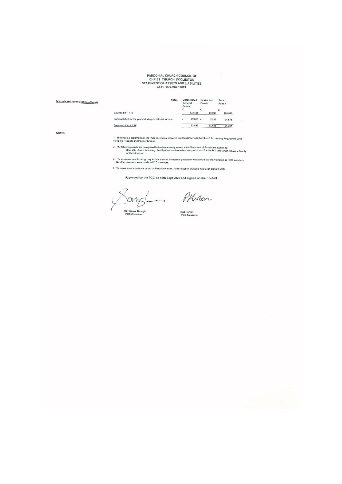# PAROCHIAL CHURCH COUNCIL OF<br>CHRIST CHURCH ECCLESTON<br>STATEMENT OF ASSETS AND LIABILITIES<br>at 31 December 2019

| Analysis and reconciliation of funds | <b>Notes</b>                                             | Funds | <b>Unrestricted</b><br>General | Funds | Restricted | Total<br>Funds |
|--------------------------------------|----------------------------------------------------------|-------|--------------------------------|-------|------------|----------------|
|                                      |                                                          | £     |                                |       |            |                |
|                                      | Balance b/f 1.1.19                                       |       | 122,530                        |       | 73,531     | 196,061        |
|                                      | Surplus/deficit for the year including investment income |       | 29,088 -                       |       | 5,587 -    | 34,675         |
|                                      | Balance c/f to 1.1.20                                    |       | 93,442                         |       | 67,945     | 161,387        |

NOTES:

1. The financial statements of the PCC have been prepared in accordance with the Church Accounting Regulations 2006<br>using the Receipts and Payments basis.

- 2. The following assets are recognised but not necessanly valued in the Statement of Assets and Liabilities:<br>Moveable church furnishings held by the church-wardens on special trust for the PCC and which require a faculty<br>f
- 3. The expenses paid to clergy may include a small, immalerial proportion which relates to their function as PCC members.<br>No other payments were made to PCC members.
- 4. The valuation of assets are based on historical values. No revaluation of assets has taken place in 2019,

Approved by the PCC on 16th Sept 2020 and signed on their behalf

Dras

PHEREN

 $\ddot{\phantom{1}}$ 

 $\sim$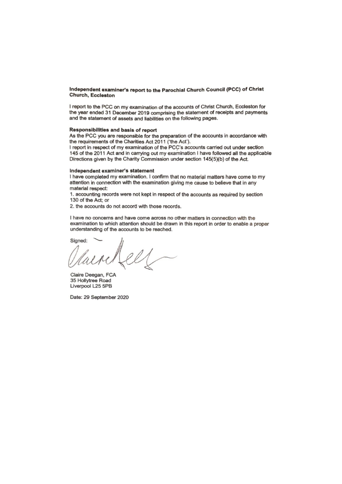#### Independent examiner's report to the Parochial Church Council (PCC) of Christ **Church, Eccleston**

I report to the PCC on my examination of the accounts of Christ Church, Eccleston for the year ended 31 December 2019 comprising the statement of receipts and payments and the statement of assets and liabilities on the following pages.

#### Responsibilities and basis of report

As the PCC you are responsible for the preparation of the accounts in accordance with the requirements of the Charities Act 2011 ('the Act').

I report in respect of my examination of the PCC's accounts carried out under section 145 of the 2011 Act and in carrying out my examination I have followed all the applicable Directions given by the Charity Commission under section 145(5)(b) of the Act.

#### Independent examiner's statement

I have completed my examination. I confirm that no material matters have come to my attention in connection with the examination giving me cause to believe that in any material respect:

1. accounting records were not kept in respect of the accounts as required by section 130 of the Act; or

2. the accounts do not accord with those records.

I have no concerns and have come across no other matters in connection with the examination to which attention should be drawn in this report in order to enable a proper understanding of the accounts to be reached.

Signed:

Claire Deegan, FCA 35 Hollytree Road Liverpool L25 5PB

Date: 29 September 2020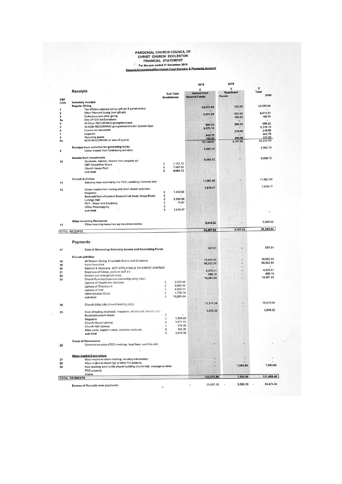# PAROCHIAL CHURCH COUNCIL OF<br>CHRIST CHURCH ECCLESTON<br>FINANCIAL STATEMENT<br>For the year ended 31 December 2019<br>Seneral (Unreatricted/Restricted) Fund Receipts & Payments Account

 $\overline{\phantom{a}}$ 

|             |                                                                                           |                                       | 2019<br>E                                   | £                          | £                                                                                                            |
|-------------|-------------------------------------------------------------------------------------------|---------------------------------------|---------------------------------------------|----------------------------|--------------------------------------------------------------------------------------------------------------|
|             | <b>Receipts</b>                                                                           | <b>Sub Total</b><br><b>Breakdowns</b> | <b>Unrestricted</b><br><b>General Funds</b> | <b>Restricted</b><br>Funds | Total<br>2019                                                                                                |
| CBF<br>code | <b>Voluntary receipts</b>                                                                 |                                       |                                             |                            |                                                                                                              |
|             | <b>Regular Giving</b><br>Tax efficient planned giving (gift aid & parish share)           |                                       | 43,453.68                                   | 125.00                     | 43,578.68                                                                                                    |
|             | Other Planned Giving (non gift aid)                                                       |                                       |                                             |                            | 6,613.85                                                                                                     |
|             | Collections and other giving                                                              |                                       | 5,691.85                                    | 922.00<br>100,00           | 100.00                                                                                                       |
|             | One off Gift Aid Donations                                                                |                                       |                                             |                            |                                                                                                              |
|             | All Other RECURRING giving/donations                                                      |                                       | 686.20                                      | 294.02                     | 980.22                                                                                                       |
|             | All NON-RECURRING giving/donations (inc Special App)                                      |                                       | 9,370.19                                    |                            | 9,370.19                                                                                                     |
|             | Income tax recovered                                                                      |                                       |                                             | 216.00                     | 216.00                                                                                                       |
|             | Legacies                                                                                  |                                       | 843.75                                      |                            | 843.75                                                                                                       |
|             | Recurring grants<br>NON RECURRING or 'one off grants'                                     |                                       | 100,00                                      | 450,00                     | 550.00<br>62,252.69                                                                                          |
|             |                                                                                           |                                       | 60,145.67                                   | 2,107.02                   |                                                                                                              |
|             | Receipts from activities for generating funds<br>Gross Income from fundraising activities |                                       | 2,952.14                                    | ٠                          | 2,952.14                                                                                                     |
|             | Income from investments                                                                   |                                       | 8,660.72                                    |                            | 8,660.72                                                                                                     |
|             | Dividends, interest, income from property etc.                                            | £<br>1,163.72                         |                                             |                            |                                                                                                              |
|             | CBF Interst/War Grave                                                                     | 7,497.00<br>£                         |                                             |                            |                                                                                                              |
|             | Church House Rent<br>sub total                                                            | 8,660.72<br>£                         |                                             |                            |                                                                                                              |
|             | <b>Church Activities</b>                                                                  |                                       |                                             |                            |                                                                                                              |
|             | Statutory fees retained by the PCC (weddings, funerals etc)                               |                                       | 11,067.00                                   | ٠                          | 11,067.00                                                                                                    |
|             | Gross income from trading and other church activities:-                                   |                                       | 7,019.17                                    |                            | 7,019.17                                                                                                     |
|             | Magazine                                                                                  | £<br>1,443.50<br>£                    |                                             |                            |                                                                                                              |
|             | Bookstall/Sale of Lentern Books/Small Study Group Books                                   | £<br>5,500.00                         |                                             |                            |                                                                                                              |
|             | <b>Lettings Hall</b>                                                                      | £<br>75.67                            |                                             |                            |                                                                                                              |
|             | PCT - Water and Electricity<br>Office Photocopying                                        | £                                     |                                             |                            |                                                                                                              |
|             | sub total                                                                                 | £<br>7,019.17                         |                                             |                            |                                                                                                              |
|             |                                                                                           |                                       |                                             |                            |                                                                                                              |
|             | <b>Other Incoming Resources</b><br>Other incoming resources eg insurance claims)          |                                       | 5,043.22                                    |                            | 5,043.22                                                                                                     |
|             | <b>TOTAL RECEIPTS</b>                                                                     |                                       | 94,887.92                                   | 2,107.02                   | 96,994.94                                                                                                    |
|             | <b>Payments</b>                                                                           |                                       |                                             |                            |                                                                                                              |
|             | Cost of Generating Volunatry Income and Generating Funds                                  |                                       | 587.01                                      |                            | 587.01                                                                                                       |
|             |                                                                                           |                                       |                                             |                            |                                                                                                              |
|             |                                                                                           |                                       |                                             |                            |                                                                                                              |
|             | <b>Church activities</b>                                                                  |                                       |                                             |                            |                                                                                                              |
|             | All Mission Giving, Charitable Grants and Donations                                       |                                       | 16,865,90                                   |                            |                                                                                                              |
|             | Parish Share Pald                                                                         |                                       | 66,922.60                                   |                            | ۰                                                                                                            |
|             | Salaries & Honoraria NOT APPLICABLE TO CHRIST CHURCH                                      |                                       | 4,970.41                                    |                            |                                                                                                              |
|             | Expenses of Clergy, pastoral staff etc.                                                   |                                       | 890.16                                      |                            |                                                                                                              |
|             | Mission and evangelism costs                                                              |                                       | 14,281.44                                   |                            |                                                                                                              |
|             | Church Running Expenses (excluding utility bilis):-                                       | £<br>3.909.80                         |                                             |                            |                                                                                                              |
|             | Upkeep of Church and Services<br>Upkeep of Churchyard                                     | £<br>3,695.44                         |                                             |                            |                                                                                                              |
|             | Upkeep of field                                                                           | ī,<br>4,898.01                        |                                             |                            |                                                                                                              |
|             | <b>Administration Costs</b>                                                               | £<br>1,778.19                         |                                             |                            |                                                                                                              |
|             | sub total                                                                                 | £<br>14,281.44                        |                                             |                            |                                                                                                              |
|             | Church Utility bills (church building only)                                               |                                       | 15,519.04                                   |                            |                                                                                                              |
|             |                                                                                           |                                       | 3,939.32                                    |                            |                                                                                                              |
|             | Cost of trading (bookstall, magazine, church hall, church hett-                           | £                                     |                                             |                            |                                                                                                              |
|             | <b>Bookstall/Lentern Books</b>                                                            | ż<br>1,509.48                         |                                             |                            |                                                                                                              |
|             | Magazine<br>Church House Upkeep                                                           | 1,071.15<br>£                         |                                             |                            |                                                                                                              |
|             | Church Hall Upkeep                                                                        | Ċ,<br>974.39                          |                                             |                            |                                                                                                              |
|             | Moto cards, baptism cards, welcome cards eic                                              | £<br>384.30                           |                                             |                            |                                                                                                              |
|             | sub total                                                                                 | £<br>3,939.32                         |                                             |                            |                                                                                                              |
|             | <b>Costs of Governance</b>                                                                |                                       |                                             |                            |                                                                                                              |
|             | Governance costs (PCC meetings, legal fees, audit fee etc)                                |                                       |                                             |                            |                                                                                                              |
|             |                                                                                           |                                       |                                             |                            |                                                                                                              |
|             | <b>Major Capital Expenditure</b>                                                          |                                       |                                             |                            |                                                                                                              |
|             | Major repairs to church building, including redecoration                                  |                                       |                                             |                            |                                                                                                              |
|             | Major reapirs to church hall or other PCC property                                        |                                       |                                             | 7,693,60                   |                                                                                                              |
|             | New building work to the church building church hall, vicarage or other                   |                                       |                                             |                            |                                                                                                              |
|             | PCC property<br>Grants                                                                    |                                       | 123,975.88                                  | 7,693.60                   | 16,865,90<br>66,922.60<br>4,970.41<br>890.16<br>14,281.44<br>15,519.04<br>3,939.32<br>7,693.60<br>131,669.48 |